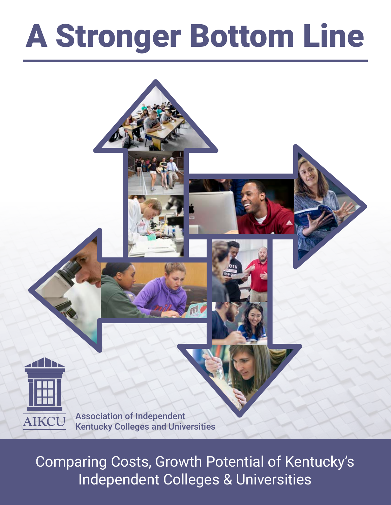# A Stronger Bottom Line



Association of Independent Kentucky Colleges and Universities

Comparing Costs, Growth Potential of Kentucky's Independent Colleges & Universities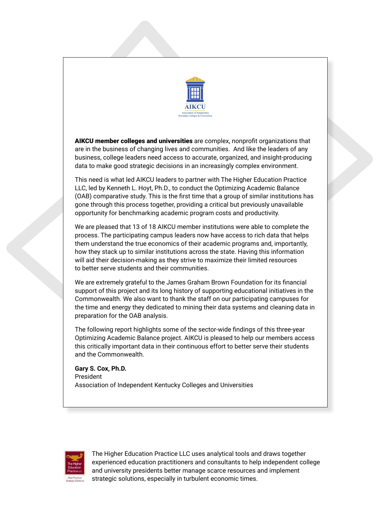

AIKCU member colleges and universities are complex, nonprofit organizations that are in the business of changing lives and communities. And like the leaders of any business, college leaders need access to accurate, organized, and insight-producing data to make good strategic decisions in an increasingly complex environment.

This need is what led AIKCU leaders to partner with The Higher Education Practice LLC, led by Kenneth L. Hoyt, Ph.D., to conduct the Optimizing Academic Balance (OAB) comparative study. This is the first time that a group of similar institutions has gone through this process together, providing a critical but previously unavailable opportunity for benchmarking academic program costs and productivity.

We are pleased that 13 of 18 AIKCU member institutions were able to complete the process. The participating campus leaders now have access to rich data that helps them understand the true economics of their academic programs and, importantly, how they stack up to similar institutions across the state. Having this information will aid their decision-making as they strive to maximize their limited resources to better serve students and their communities.

We are extremely grateful to the James Graham Brown Foundation for its financial support of this project and its long history of supporting educational initiatives in the Commonwealth. We also want to thank the staff on our participating campuses for the time and energy they dedicated to mining their data systems and cleaning data in preparation for the OAB analysis.

The following report highlights some of the sector-wide findings of this three-year Optimizing Academic Balance project. AIKCU is pleased to help our members access this critically important data in their continuous effort to better serve their students and the Commonwealth.

**Gary S. Cox, Ph.D.** President Association of Independent Kentucky Colleges and Universities



The Higher Education Practice LLC uses analytical tools and draws together experienced education practitioners and consultants to help independent college and university presidents better manage scarce resources and implement strategic solutions, especially in turbulent economic times.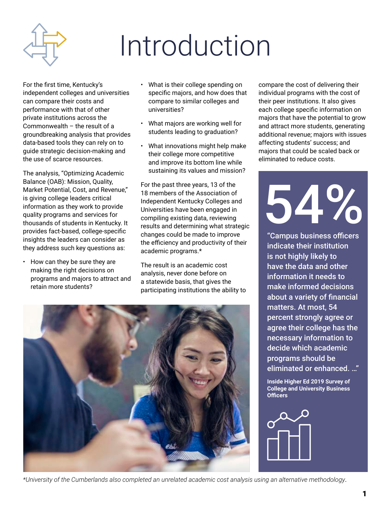

## Introduction

For the first time, Kentucky's independent colleges and universities can compare their costs and performance with that of other private institutions across the Commonwealth – the result of a groundbreaking analysis that provides data-based tools they can rely on to guide strategic decision-making and the use of scarce resources.

The analysis, "Optimizing Academic Balance (OAB): Mission, Quality, Market Potential, Cost, and Revenue," is giving college leaders critical information as they work to provide quality programs and services for thousands of students in Kentucky. It provides fact-based, college-specific insights the leaders can consider as they address such key questions as:

• How can they be sure they are making the right decisions on programs and majors to attract and retain more students?

- What is their college spending on specific majors, and how does that compare to similar colleges and universities?
- What majors are working well for students leading to graduation?
- What innovations might help make their college more competitive and improve its bottom line while sustaining its values and mission?

For the past three years, 13 of the 18 members of the Association of Independent Kentucky Colleges and Universities have been engaged in compiling existing data, reviewing results and determining what strategic changes could be made to improve the efficiency and productivity of their academic programs.\*

The result is an academic cost analysis, never done before on a statewide basis, that gives the participating institutions the ability to



compare the cost of delivering their individual programs with the cost of their peer institutions. It also gives each college specific information on majors that have the potential to grow and attract more students, generating additional revenue; majors with issues affecting students' success; and majors that could be scaled back or eliminated to reduce costs.

54%

"Campus business officers indicate their institution is not highly likely to have the data and other information it needs to make informed decisions about a variety of financial matters. At most, 54 percent strongly agree or agree their college has the necessary information to decide which academic programs should be eliminated or enhanced. …"

**Inside Higher Ed 2019 Survey of College and University Business Officers**



*\*University of the Cumberlands also completed an unrelated academic cost analysis using an alternative methodology*.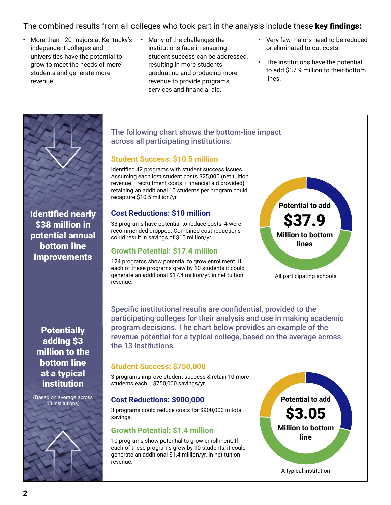## The combined results from all colleges who took part in the analysis include these key findings:

- More than 120 majors at Kentucky's independent colleges and universities have the potential to grow to meet the needs of more students and generate more revenue.
- Many of the challenges the institutions face in ensuring student success can be addressed, resulting in more students graduating and producing more revenue to provide programs, services and financial aid.
- Very few majors need to be reduced or eliminated to cut costs.
- The institutions have the potential to add \$37.9 million to their bottom lines.



Identified nearly \$38 million in potential annual bottom line **improvements** 

**Potentially** adding \$3 million to the bottom line at a typical institution

(Based on average across 13 institutions)

## The following chart shows the bottom-line impact across all participating institutions.

#### **Student Success: \$10.5 million**

Identified 42 programs with student success issues. Assuming each lost student costs \$25,000 (net tuition revenue + recruitment costs + financial aid provided), retaining an additional 10 students per program could recapture \$10.5 million/yr.

### **Cost Reductions: \$10 million**

33 programs have potential to reduce costs; 4 were recommended dropped. Combined cost reductions could result in savings of \$10 million/yr.

#### **Growth Potential: \$17.4 million**

124 programs show potential to grow enrollment. If each of these programs grew by 10 students it could generate an additional \$17.4 million/yr. in net tuition revenue.



All participating schools

Specific institutional results are confidential, provided to the participating colleges for their analysis and use in making academic program decisions. The chart below provides an example of the revenue potential for a typical college, based on the average across the 13 institutions.

### **Student Success: \$750,000**

3 programs improve student success & retain 10 more students each = \$750,000 savings/yr.

### **Cost Reductions: \$900,000**

3 programs could reduce costs for \$900,000 in total savings.

### **Growth Potential: \$1.4 million**

10 programs show potential to grow enrollment. If each of these programs grew by 10 students, it could generate an additional \$1.4 million/yr. in net tuition revenue.

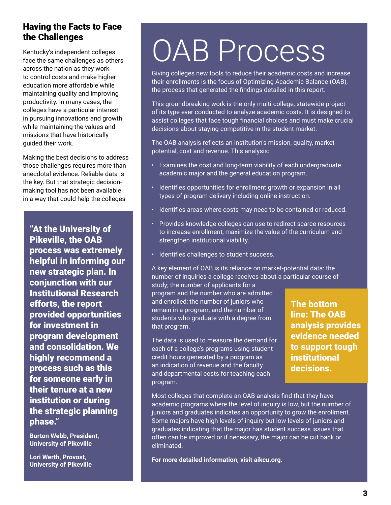## Having the Facts to Face the Challenges

Kentucky's independent colleges face the same challenges as others across the nation as they work to control costs and make higher education more affordable while maintaining quality and improving productivity. In many cases, the colleges have a particular interest in pursuing innovations and growth while maintaining the values and missions that have historically guided their work.

Making the best decisions to address those challenges requires more than anecdotal evidence. Reliable data is the key. But that strategic decisionmaking tool has not been available in a way that could help the colleges

"At the University of Pikeville, the OAB process was extremely helpful in informing our new strategic plan. In conjunction with our Institutional Research efforts, the report provided opportunities for investment in program development and consolidation. We highly recommend a process such as this for someone early in their tenure at a new institution or during the strategic planning phase."

**Burton Webb, President, University of Pikeville**

**Lori Werth, Provost, University of Pikeville** 

## OAB Process

Giving colleges new tools to reduce their academic costs and increase their enrollments is the focus of Optimizing Academic Balance (OAB), the process that generated the findings detailed in this report.

This groundbreaking work is the only multi-college, statewide project of its type ever conducted to analyze academic costs. It is designed to assist colleges that face tough financial choices and must make crucial decisions about staying competitive in the student market.

The OAB analysis reflects an institution's mission, quality, market potential, cost and revenue. This analysis:

- Examines the cost and long-term viability of each undergraduate academic major and the general education program.
- Identifies opportunities for enrollment growth or expansion in all types of program delivery including online instruction.
- Identifies areas where costs may need to be contained or reduced.
- Provides knowledge colleges can use to redirect scarce resources to increase enrollment, maximize the value of the curriculum and strengthen institutional viability.
- Identifies challenges to student success.

A key element of OAB is its reliance on market-potential data: the number of inquiries a college receives about a particular course of

study; the number of applicants for a program and the number who are admitted and enrolled; the number of juniors who remain in a program; and the number of students who graduate with a degree from that program.

The data is used to measure the demand for each of a college's programs using student credit hours generated by a program as an indication of revenue and the faculty and departmental costs for teaching each program.

The bottom line: The OAB analysis provides evidence needed to support tough institutional decisions.

Most colleges that complete an OAB analysis find that they have academic programs where the level of inquiry is low, but the number of juniors and graduates indicates an opportunity to grow the enrollment. Some majors have high levels of inquiry but low levels of juniors and graduates indicating that the major has student success issues that often can be improved or if necessary, the major can be cut back or eliminated.

**For more detailed information, visit aikcu.org.**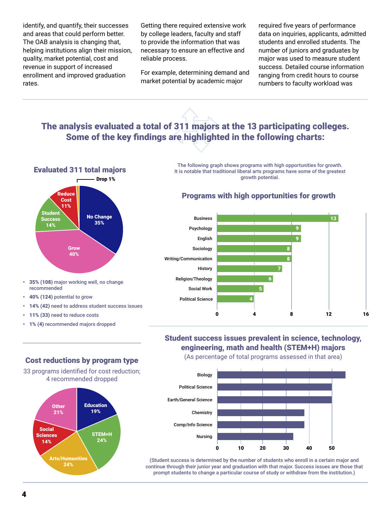identify, and quantify, their successes and areas that could perform better. The OAB analysis is changing that, helping institutions align their mission, quality, market potential, cost and revenue in support of increased enrollment and improved graduation rates.

Getting there required extensive work by college leaders, faculty and staff to provide the information that was necessary to ensure an effective and reliable process.

For example, determining demand and market potential by academic major

required five years of performance data on inquiries, applicants, admitted students and enrolled students. The number of juniors and graduates by major was used to measure student success. Detailed course information ranging from credit hours to course numbers to faculty workload was

## The analysis evaluated a total of 311 majors at the 13 participating colleges. Some of the key findings are highlighted in the following charts:



- 35% (108) major working well, no change recommended
- 40% (124) potential to grow
- 14% (42) need to address student success issues
- 11% (33) need to reduce costs
- 1% (4) recommended majors dropped

#### The following graph shows programs with high opportunities for growth. It is notable that traditional liberal arts programs have some of the greatest growth potential.

## Programs with high opportunities for growth



## Student success issues prevalent in science, technology, engineering, math and health (STEM+H) majors

(As percentage of total programs assessed in that area)



(Student success is determined by the number of students who enroll in a certain major and continue through their junior year and graduation with that major. Success issues are those that prompt students to change a particular course of study or withdraw from the institution.)

### Cost reductions by program type

33 programs identified for cost reduction; 4 recommended dropped

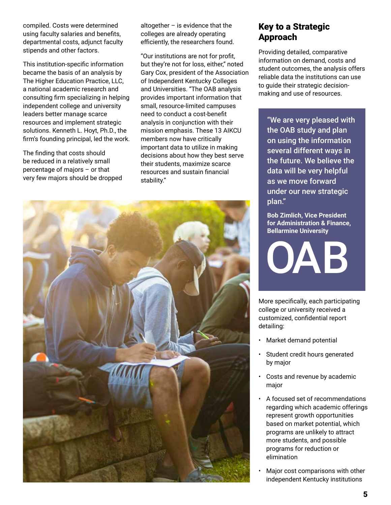compiled. Costs were determined using faculty salaries and benefits, departmental costs, adjunct faculty stipends and other factors.

This institution-specific information became the basis of an analysis by The Higher Education Practice, LLC, a national academic research and consulting firm specializing in helping independent college and university leaders better manage scarce resources and implement strategic solutions. Kenneth L. Hoyt, Ph.D., the firm's founding principal, led the work.

The finding that costs should be reduced in a relatively small percentage of majors – or that very few majors should be dropped altogether  $-$  is evidence that the colleges are already operating efficiently, the researchers found.

"Our institutions are not for profit, but they're not for loss, either," noted Gary Cox, president of the Association of Independent Kentucky Colleges and Universities. "The OAB analysis provides important information that small, resource-limited campuses need to conduct a cost-benefit analysis in conjunction with their mission emphasis. These 13 AIKCU members now have critically important data to utilize in making decisions about how they best serve their students, maximize scarce resources and sustain financial stability."



## Key to a Strategic Approach

Providing detailed, comparative information on demand, costs and student outcomes, the analysis offers reliable data the institutions can use to guide their strategic decisionmaking and use of resources.

"We are very pleased with the OAB study and plan on using the information several different ways in the future. We believe the data will be very helpful as we move forward under our new strategic plan."

**Bob Zimlich, Vice President for Administration & Finance, Bellarmine University**

OAB

More specifically, each participating college or university received a customized, confidential report detailing:

- Market demand potential
- Student credit hours generated by major
- Costs and revenue by academic major
- A focused set of recommendations regarding which academic offerings represent growth opportunities based on market potential, which programs are unlikely to attract more students, and possible programs for reduction or elimination
- Major cost comparisons with other independent Kentucky institutions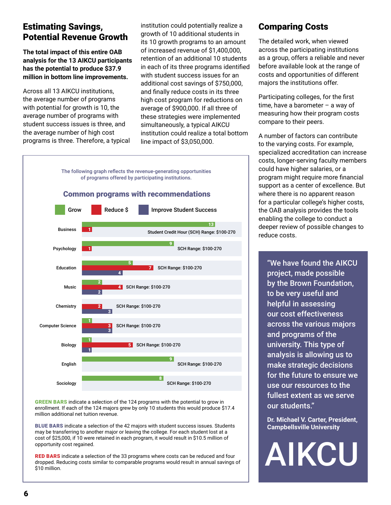## Estimating Savings, Potential Revenue Growth

**The total impact of this entire OAB analysis for the 13 AIKCU participants has the potential to produce \$37.9 million in bottom line improvements.**

Across all 13 AIKCU institutions, the average number of programs with potential for growth is 10, the average number of programs with student success issues is three, and the average number of high cost programs is three. Therefore, a typical institution could potentially realize a growth of 10 additional students in its 10 growth programs to an amount of increased revenue of \$1,400,000, retention of an additional 10 students in each of its three programs identified with student success issues for an additional cost savings of \$750,000, and finally reduce costs in its three high cost program for reductions on average of \$900,000. If all three of these strategies were implemented simultaneously, a typical AIKCU institution could realize a total bottom line impact of \$3,050,000.



GREEN BARS indicate a selection of the 124 programs with the potential to grow in enrollment. If each of the 124 majors grew by only 10 students this would produce \$17.4 million additional net tuition revenue.

BLUE BARS indicate a selection of the 42 majors with student success issues. Students may be transferring to another major or leaving the college. For each student lost at a cost of \$25,000, if 10 were retained in each program, it would result in \$10.5 million of opportunity cost regained.

RED BARS indicate a selection of the 33 programs where costs can be reduced and four dropped. Reducing costs similar to comparable programs would result in annual savings of \$10 million.

## Comparing Costs

The detailed work, when viewed across the participating institutions as a group, offers a reliable and never before available look at the range of costs and opportunities of different majors the institutions offer.

Participating colleges, for the first time, have a barometer – a way of measuring how their program costs compare to their peers.

A number of factors can contribute to the varying costs. For example, specialized accreditation can increase costs, longer-serving faculty members could have higher salaries, or a program might require more financial support as a center of excellence. But where there is no apparent reason for a particular college's higher costs, the OAB analysis provides the tools enabling the college to conduct a deeper review of possible changes to reduce costs.

"We have found the AIKCU project, made possible by the Brown Foundation, to be very useful and helpful in assessing our cost effectiveness across the various majors and programs of the university. This type of analysis is allowing us to make strategic decisions for the future to ensure we use our resources to the fullest extent as we serve our students."

**Dr. Michael V. Carter, President, Campbellsville University**

AIKCU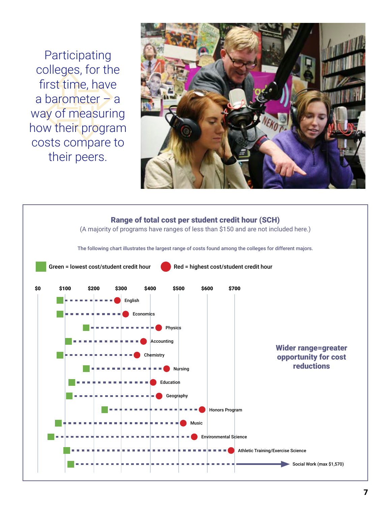Participating colleges, for the first time, have a barometer – a way of measuring how their program costs compare to their peers.



## Range of total cost per student credit hour (SCH)

(A majority of programs have ranges of less than \$150 and are not included here.)

The following chart illustrates the largest range of costs found among the colleges for different majors.

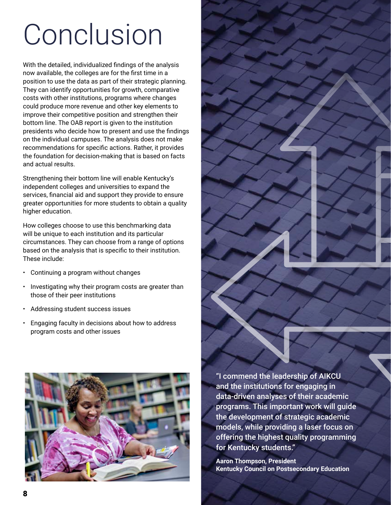## Conclusion

With the detailed, individualized findings of the analysis now available, the colleges are for the first time in a position to use the data as part of their strategic planning. They can identify opportunities for growth, comparative costs with other institutions, programs where changes could produce more revenue and other key elements to improve their competitive position and strengthen their bottom line. The OAB report is given to the institution presidents who decide how to present and use the findings on the individual campuses. The analysis does not make recommendations for specific actions. Rather, it provides the foundation for decision-making that is based on facts and actual results.

Strengthening their bottom line will enable Kentucky's independent colleges and universities to expand the services, financial aid and support they provide to ensure greater opportunities for more students to obtain a quality higher education.

How colleges choose to use this benchmarking data will be unique to each institution and its particular circumstances. They can choose from a range of options based on the analysis that is specific to their institution. These include:

- Continuing a program without changes
- Investigating why their program costs are greater than those of their peer institutions
- Addressing student success issues
- Engaging faculty in decisions about how to address program costs and other issues



"I commend the leadership of AIKCU and the institutions for engaging in data-driven analyses of their academic programs. This important work will guide the development of strategic academic models, while providing a laser focus on offering the highest quality programming for Kentucky students."

**Aaron Thompson, President Kentucky Council on Postsecondary Education**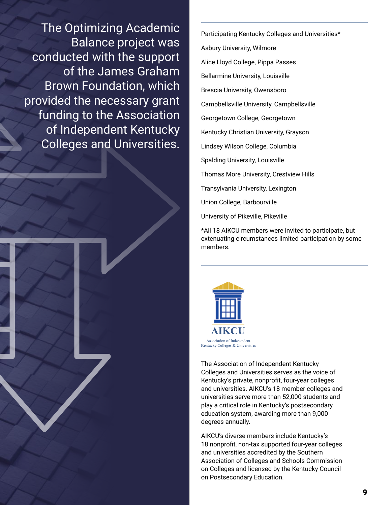The Optimizing Academic Balance project was conducted with the support of the James Graham Brown Foundation, which provided the necessary grant funding to the Association of Independent Kentucky Colleges and Universities.

Participating Kentucky Colleges and Universities\* Asbury University, Wilmore Alice Lloyd College, Pippa Passes Bellarmine University, Louisville Brescia University, Owensboro Campbellsville University, Campbellsville Georgetown College, Georgetown Kentucky Christian University, Grayson Lindsey Wilson College, Columbia Spalding University, Louisville Thomas More University, Crestview Hills Transylvania University, Lexington Union College, Barbourville University of Pikeville, Pikeville

\*All 18 AIKCU members were invited to participate, but extenuating circumstances limited participation by some members.



The Association of Independent Kentucky Colleges and Universities serves as the voice of Kentucky's private, nonprofit, four-year colleges and universities. AIKCU's 18 member colleges and universities serve more than 52,000 students and play a critical role in Kentucky's postsecondary education system, awarding more than 9,000 degrees annually.

AIKCU's diverse members include Kentucky's 18 nonprofit, non-tax supported four-year colleges and universities accredited by the Southern Association of Colleges and Schools Commission on Colleges and licensed by the Kentucky Council on Postsecondary Education.